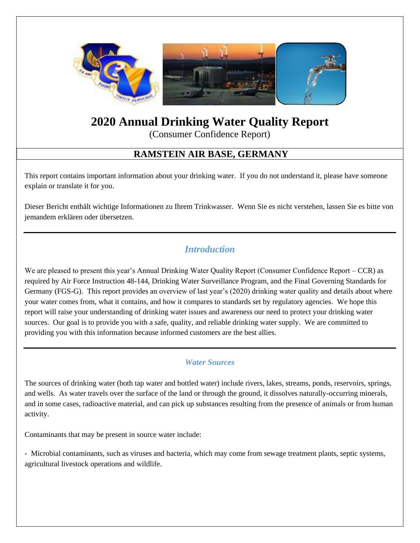

# **2020 Annual Drinking Water Quality Report**

(Consumer Confidence Report)

# **RAMSTEIN AIR BASE, GERMANY**

This report contains important information about your drinking water. If you do not understand it, please have someone explain or translate it for you.

Dieser Bericht enthält wichtige Informationen zu Ihrem Trinkwasser. Wenn Sie es nicht verstehen, lassen Sie es bitte von jemandem erklären oder übersetzen.

## *Introduction*

We are pleased to present this year's Annual Drinking Water Quality Report (Consumer Confidence Report – CCR) as required by Air Force Instruction 48-144, Drinking Water Surveillance Program, and the Final Governing Standards for Germany (FGS-G). This report provides an overview of last year's (2020) drinking water quality and details about where your water comes from, what it contains, and how it compares to standards set by regulatory agencies. We hope this report will raise your understanding of drinking water issues and awareness our need to protect your drinking water sources. Our goal is to provide you with a safe, quality, and reliable drinking water supply. We are committed to providing you with this information because informed customers are the best allies.

## *Water Sources*

The sources of drinking water (both tap water and bottled water) include rivers, lakes, streams, ponds, reservoirs, springs, and wells. As water travels over the surface of the land or through the ground, it dissolves naturally-occurring minerals, and in some cases, radioactive material, and can pick up substances resulting from the presence of animals or from human activity.

Contaminants that may be present in source water include:

- Microbial contaminants, such as viruses and bacteria, which may come from sewage treatment plants, septic systems, agricultural livestock operations and wildlife.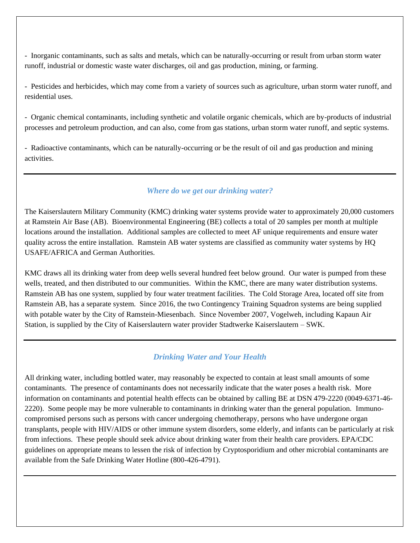- Inorganic contaminants, such as salts and metals, which can be naturally-occurring or result from urban storm water runoff, industrial or domestic waste water discharges, oil and gas production, mining, or farming.

- Pesticides and herbicides, which may come from a variety of sources such as agriculture, urban storm water runoff, and residential uses.

- Organic chemical contaminants, including synthetic and volatile organic chemicals, which are by-products of industrial processes and petroleum production, and can also, come from gas stations, urban storm water runoff, and septic systems.

- Radioactive contaminants, which can be naturally-occurring or be the result of oil and gas production and mining activities.

#### *Where do we get our drinking water?*

The Kaiserslautern Military Community (KMC) drinking water systems provide water to approximately 20,000 customers at Ramstein Air Base (AB). Bioenvironmental Engineering (BE) collects a total of 20 samples per month at multiple locations around the installation. Additional samples are collected to meet AF unique requirements and ensure water quality across the entire installation. Ramstein AB water systems are classified as community water systems by HQ USAFE/AFRICA and German Authorities.

KMC draws all its drinking water from deep wells several hundred feet below ground. Our water is pumped from these wells, treated, and then distributed to our communities. Within the KMC, there are many water distribution systems. Ramstein AB has one system, supplied by four water treatment facilities. The Cold Storage Area, located off site from Ramstein AB, has a separate system. Since 2016, the two Contingency Training Squadron systems are being supplied with potable water by the City of Ramstein-Miesenbach. Since November 2007, Vogelweh, including Kapaun Air Station, is supplied by the City of Kaiserslautern water provider Stadtwerke Kaiserslautern – SWK.

### *Drinking Water and Your Health*

All drinking water, including bottled water, may reasonably be expected to contain at least small amounts of some contaminants. The presence of contaminants does not necessarily indicate that the water poses a health risk. More information on contaminants and potential health effects can be obtained by calling BE at DSN 479-2220 (0049-6371-46- 2220). Some people may be more vulnerable to contaminants in drinking water than the general population. Immunocompromised persons such as persons with cancer undergoing chemotherapy, persons who have undergone organ transplants, people with HIV/AIDS or other immune system disorders, some elderly, and infants can be particularly at risk from infections. These people should seek advice about drinking water from their health care providers. EPA/CDC guidelines on appropriate means to lessen the risk of infection by Cryptosporidium and other microbial contaminants are available from the Safe Drinking Water Hotline (800-426-4791).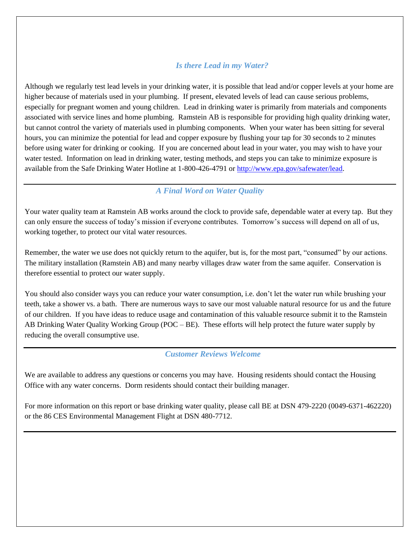#### *Is there Lead in my Water?*

Although we regularly test lead levels in your drinking water, it is possible that lead and/or copper levels at your home are higher because of materials used in your plumbing. If present, elevated levels of lead can cause serious problems, especially for pregnant women and young children. Lead in drinking water is primarily from materials and components associated with service lines and home plumbing. Ramstein AB is responsible for providing high quality drinking water, but cannot control the variety of materials used in plumbing components. When your water has been sitting for several hours, you can minimize the potential for lead and copper exposure by flushing your tap for 30 seconds to 2 minutes before using water for drinking or cooking. If you are concerned about lead in your water, you may wish to have your water tested. Information on lead in drinking water, testing methods, and steps you can take to minimize exposure is available from the Safe Drinking Water Hotline at 1-800-426-4791 or [http://www.epa.gov/safewater/lead.](http://www.epa.gov/safewater/lead)

#### *A Final Word on Water Quality*

Your water quality team at Ramstein AB works around the clock to provide safe, dependable water at every tap. But they can only ensure the success of today's mission if everyone contributes. Tomorrow's success will depend on all of us, working together, to protect our vital water resources.

Remember, the water we use does not quickly return to the aquifer, but is, for the most part, "consumed" by our actions. The military installation (Ramstein AB) and many nearby villages draw water from the same aquifer. Conservation is therefore essential to protect our water supply.

You should also consider ways you can reduce your water consumption, i.e. don't let the water run while brushing your teeth, take a shower vs. a bath. There are numerous ways to save our most valuable natural resource for us and the future of our children. If you have ideas to reduce usage and contamination of this valuable resource submit it to the Ramstein AB Drinking Water Quality Working Group (POC – BE). These efforts will help protect the future water supply by reducing the overall consumptive use.

#### *Customer Reviews Welcome*

We are available to address any questions or concerns you may have. Housing residents should contact the Housing Office with any water concerns. Dorm residents should contact their building manager.

For more information on this report or base drinking water quality, please call BE at DSN 479-2220 (0049-6371-462220) or the 86 CES Environmental Management Flight at DSN 480-7712.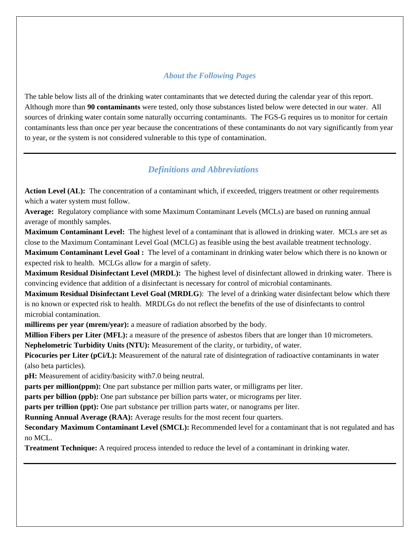## *About the Following Pages*

The table below lists all of the drinking water contaminants that we detected during the calendar year of this report. Although more than **90 contaminants** were tested, only those substances listed below were detected in our water. All sources of drinking water contain some naturally occurring contaminants. The FGS-G requires us to monitor for certain contaminants less than once per year because the concentrations of these contaminants do not vary significantly from year to year, or the system is not considered vulnerable to this type of contamination.

## *Definitions and Abbreviations*

**Action Level (AL):** The concentration of a contaminant which, if exceeded, triggers treatment or other requirements which a water system must follow.

**Average:** Regulatory compliance with some Maximum Contaminant Levels (MCLs) are based on running annual average of monthly samples.

**Maximum Contaminant Level:** The highest level of a contaminant that is allowed in drinking water. MCLs are set as close to the Maximum Contaminant Level Goal (MCLG) as feasible using the best available treatment technology.

**Maximum Contaminant Level Goal :** The level of a contaminant in drinking water below which there is no known or expected risk to health. MCLGs allow for a margin of safety.

**Maximum Residual Disinfectant Level (MRDL):** The highest level of disinfectant allowed in drinking water. There is convincing evidence that addition of a disinfectant is necessary for control of microbial contaminants.

**Maximum Residual Disinfectant Level Goal (MRDLG**): The level of a drinking water disinfectant below which there is no known or expected risk to health. MRDLGs do not reflect the benefits of the use of disinfectants to control microbial contamination.

**millirems per year (mrem/year):** a measure of radiation absorbed by the body.

**Million Fibers per Liter (MFL):** a measure of the presence of asbestos fibers that are longer than 10 micrometers.

**Nephelometric Turbidity Units (NTU):** Measurement of the clarity, or turbidity, of water.

**Picocuries per Liter (pCi/L):** Measurement of the natural rate of disintegration of radioactive contaminants in water (also beta particles).

**pH:** Measurement of acidity/basicity with7.0 being neutral.

**parts per million(ppm):** One part substance per million parts water, or milligrams per liter.

**parts per billion (ppb):** One part substance per billion parts water, or micrograms per liter.

**parts per trillion (ppt):** One part substance per trillion parts water, or nanograms per liter.

**Running Annual Average (RAA):** Average results for the most recent four quarters.

**Secondary Maximum Contaminant Level (SMCL):** Recommended level for a contaminant that is not regulated and has no MCL.

**Treatment Technique:** A required process intended to reduce the level of a contaminant in drinking water.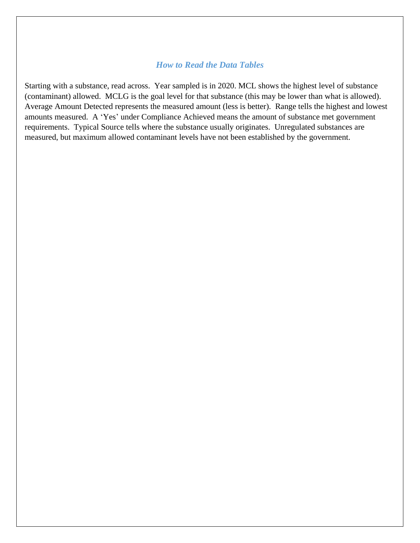#### *How to Read the Data Tables*

Starting with a substance, read across. Year sampled is in 2020. MCL shows the highest level of substance (contaminant) allowed. MCLG is the goal level for that substance (this may be lower than what is allowed). Average Amount Detected represents the measured amount (less is better). Range tells the highest and lowest amounts measured. A 'Yes' under Compliance Achieved means the amount of substance met government requirements. Typical Source tells where the substance usually originates. Unregulated substances are measured, but maximum allowed contaminant levels have not been established by the government.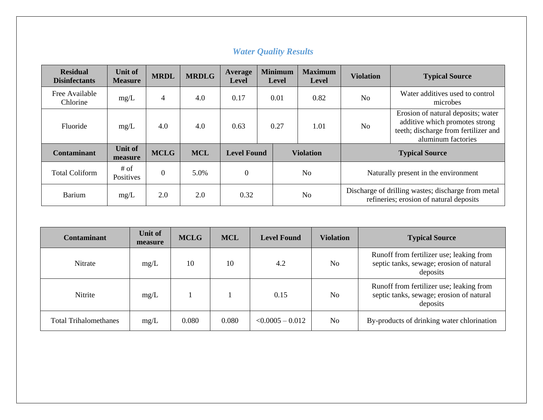| <b>Residual</b><br><b>Disinfectants</b> | <b>Unit of</b><br><b>Measure</b> | <b>MRDL</b> | <b>MRDLG</b> | Average<br><b>Level</b> | <b>Minimum</b><br><b>Level</b> |                | <b>Maximum</b><br><b>Level</b>       | <b>Violation</b> | <b>Typical Source</b>                                                                                                              |
|-----------------------------------------|----------------------------------|-------------|--------------|-------------------------|--------------------------------|----------------|--------------------------------------|------------------|------------------------------------------------------------------------------------------------------------------------------------|
| Free Available<br>Chlorine              | mg/L                             | 4           | 4.0          | 0.17                    | 0.01                           |                | 0.82                                 | N <sub>0</sub>   | Water additives used to control<br>microbes                                                                                        |
| Fluoride                                | mg/L                             | 4.0         | 4.0          | 0.63                    | 0.27                           |                | 1.01                                 | N <sub>0</sub>   | Erosion of natural deposits; water<br>additive which promotes strong<br>teeth; discharge from fertilizer and<br>aluminum factories |
| <b>Contaminant</b>                      | <b>Unit of</b><br>measure        | <b>MCLG</b> | <b>MCL</b>   | <b>Level Found</b>      |                                |                | <b>Violation</b>                     |                  | <b>Typical Source</b>                                                                                                              |
| <b>Total Coliform</b>                   | # of<br>Positives                | $\theta$    | 5.0%         | $\overline{0}$          |                                | N <sub>o</sub> | Naturally present in the environment |                  |                                                                                                                                    |
| <b>Barium</b>                           | mg/L                             | 2.0         | 2.0          | 0.32                    |                                |                | N <sub>o</sub>                       |                  | Discharge of drilling wastes; discharge from metal<br>refineries; erosion of natural deposits                                      |

|  |  | <b>Water Quality Results</b> |
|--|--|------------------------------|
|  |  |                              |

| <b>Contaminant</b>           | Unit of<br>measure | <b>MCLG</b> | <b>MCL</b> | <b>Level Found</b> | <b>Violation</b> | <b>Typical Source</b>                                                                            |
|------------------------------|--------------------|-------------|------------|--------------------|------------------|--------------------------------------------------------------------------------------------------|
| Nitrate                      | mg/L               | 10          | 10         | 4.2                | No               | Runoff from fertilizer use; leaking from<br>septic tanks, sewage; erosion of natural<br>deposits |
| Nitrite                      | mg/L               |             |            | 0.15               | No               | Runoff from fertilizer use; leaking from<br>septic tanks, sewage; erosion of natural<br>deposits |
| <b>Total Trihalomethanes</b> | mg/L               | 0.080       | 0.080      | $< 0.0005 - 0.012$ | N <sub>0</sub>   | By-products of drinking water chlorination                                                       |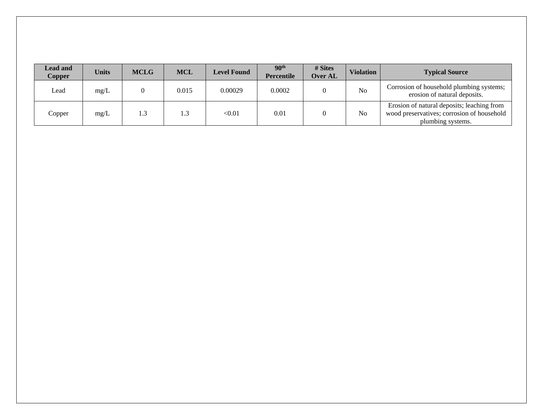| <b>Lead and</b><br>Copper | <b>Units</b> | <b>MCLG</b> | <b>MCL</b> | <b>Level Found</b> | 90 <sup>th</sup><br><b>Percentile</b> | # Sites<br>Over AL | <b>Violation</b> | <b>Typical Source</b>                                                                                         |
|---------------------------|--------------|-------------|------------|--------------------|---------------------------------------|--------------------|------------------|---------------------------------------------------------------------------------------------------------------|
| Lead                      | mg/L         |             | 0.015      | 0.00029            | 0.0002                                |                    | N <sub>o</sub>   | Corrosion of household plumbing systems;<br>erosion of natural deposits.                                      |
| Copper                    | mg/L         | 1.3         |            | < 0.01             | 0.01                                  |                    | N <sub>0</sub>   | Erosion of natural deposits; leaching from<br>wood preservatives; corrosion of household<br>plumbing systems. |